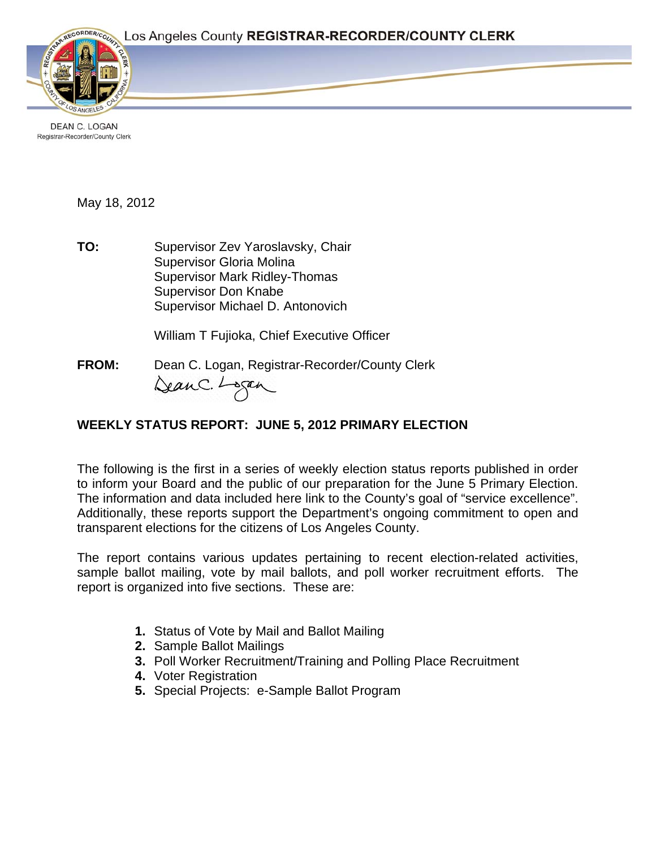

DEAN C. LOGAN Registrar-Recorder/County Clerk

May 18, 2012

**TO:** Supervisor Zev Yaroslavsky, Chair Supervisor Gloria Molina Supervisor Mark Ridley-Thomas Supervisor Don Knabe Supervisor Michael D. Antonovich

William T Fujioka, Chief Executive Officer

**FROM:** Dean C. Logan, Registrar-Recorder/County Clerk DeanC. Logan

## **WEEKLY STATUS REPORT: JUNE 5, 2012 PRIMARY ELECTION**

The following is the first in a series of weekly election status reports published in order to inform your Board and the public of our preparation for the June 5 Primary Election. The information and data included here link to the County's goal of "service excellence". Additionally, these reports support the Department's ongoing commitment to open and transparent elections for the citizens of Los Angeles County.

The report contains various updates pertaining to recent election-related activities, sample ballot mailing, vote by mail ballots, and poll worker recruitment efforts. The report is organized into five sections. These are:

- **1.** Status of Vote by Mail and Ballot Mailing
- **2.** Sample Ballot Mailings
- **3.** Poll Worker Recruitment/Training and Polling Place Recruitment
- **4.** Voter Registration
- **5.** Special Projects: e-Sample Ballot Program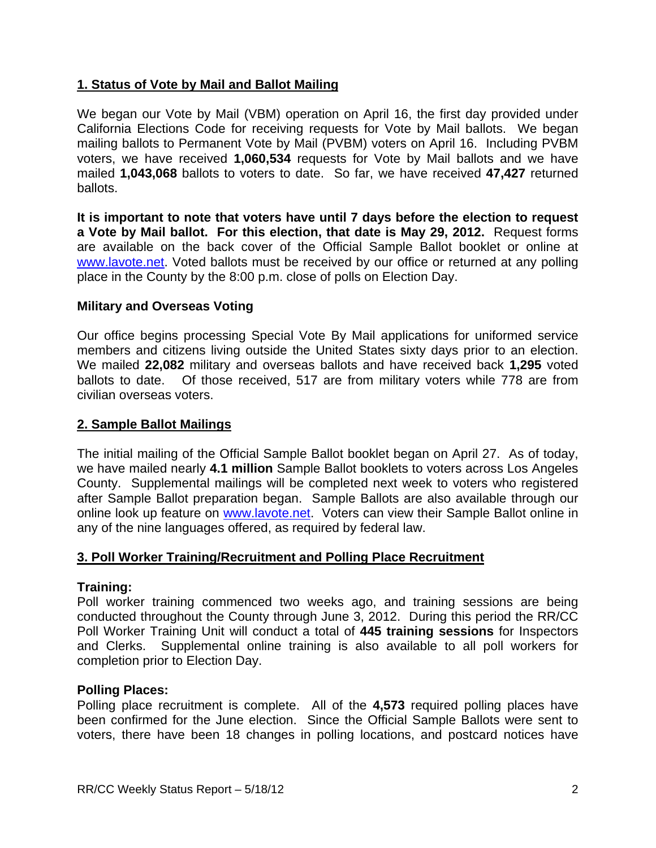## **1. Status of Vote by Mail and Ballot Mailing**

We began our Vote by Mail (VBM) operation on April 16, the first day provided under California Elections Code for receiving requests for Vote by Mail ballots. We began mailing ballots to Permanent Vote by Mail (PVBM) voters on April 16. Including PVBM voters, we have received **1,060,534** requests for Vote by Mail ballots and we have mailed **1,043,068** ballots to voters to date. So far, we have received **47,427** returned ballots.

**It is important to note that voters have until 7 days before the election to request a Vote by Mail ballot. For this election, that date is May 29, 2012.** Request forms are available on the back cover of the Official Sample Ballot booklet or online at www.lavote.net. Voted ballots must be received by our office or returned at any polling place in the County by the 8:00 p.m. close of polls on Election Day.

### **Military and Overseas Voting**

Our office begins processing Special Vote By Mail applications for uniformed service members and citizens living outside the United States sixty days prior to an election. We mailed **22,082** military and overseas ballots and have received back **1,295** voted ballots to date. Of those received, 517 are from military voters while 778 are from civilian overseas voters.

#### **2. Sample Ballot Mailings**

The initial mailing of the Official Sample Ballot booklet began on April 27. As of today, we have mailed nearly **4.1 million** Sample Ballot booklets to voters across Los Angeles County. Supplemental mailings will be completed next week to voters who registered after Sample Ballot preparation began. Sample Ballots are also available through our online look up feature on www.lavote.net. Voters can view their Sample Ballot online in any of the nine languages offered, as required by federal law.

#### **3. Poll Worker Training/Recruitment and Polling Place Recruitment**

#### **Training:**

Poll worker training commenced two weeks ago, and training sessions are being conducted throughout the County through June 3, 2012. During this period the RR/CC Poll Worker Training Unit will conduct a total of **445 training sessions** for Inspectors and Clerks. Supplemental online training is also available to all poll workers for completion prior to Election Day.

#### **Polling Places:**

Polling place recruitment is complete. All of the **4,573** required polling places have been confirmed for the June election. Since the Official Sample Ballots were sent to voters, there have been 18 changes in polling locations, and postcard notices have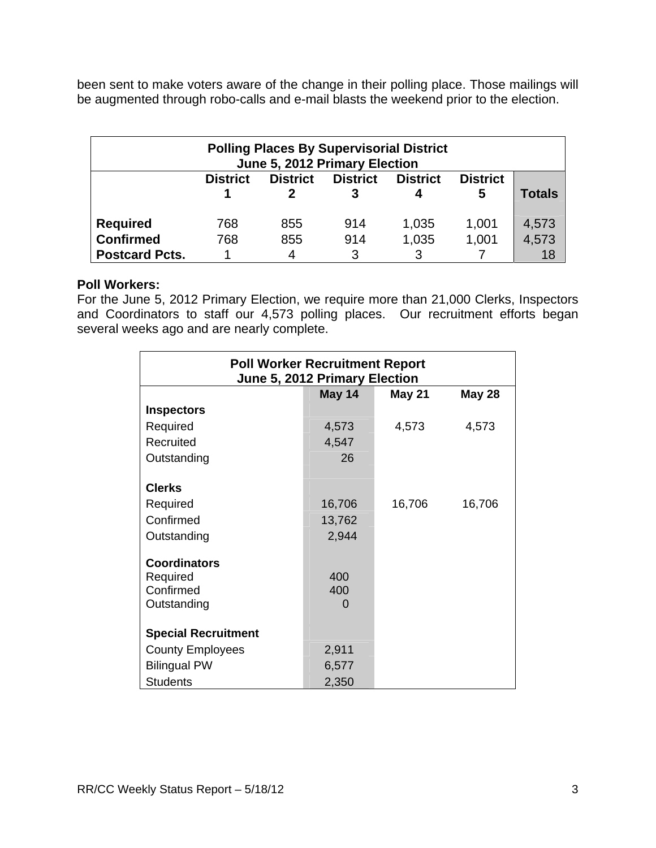been sent to make voters aware of the change in their polling place. Those mailings will be augmented through robo-calls and e-mail blasts the weekend prior to the election.

| <b>Polling Places By Supervisorial District</b><br>June 5, 2012 Primary Election |                 |                 |                 |                      |                      |        |  |
|----------------------------------------------------------------------------------|-----------------|-----------------|-----------------|----------------------|----------------------|--------|--|
|                                                                                  | <b>District</b> | <b>District</b> | <b>District</b> | <b>District</b><br>4 | <b>District</b><br>5 | Totals |  |
| <b>Required</b>                                                                  | 768             | 855             | 914             | 1,035                | 1,001                | 4,573  |  |
| <b>Confirmed</b>                                                                 | 768             | 855             | 914             | 1,035                | 1,001                | 4,573  |  |
| <b>Postcard Pcts.</b>                                                            |                 | 4               | 3               |                      |                      |        |  |

#### **Poll Workers:**

For the June 5, 2012 Primary Election, we require more than 21,000 Clerks, Inspectors and Coordinators to staff our 4,573 polling places. Our recruitment efforts began several weeks ago and are nearly complete.

| <b>Poll Worker Recruitment Report</b><br>June 5, 2012 Primary Election |        |               |               |  |  |
|------------------------------------------------------------------------|--------|---------------|---------------|--|--|
|                                                                        | May 14 | <b>May 21</b> | <b>May 28</b> |  |  |
| <b>Inspectors</b>                                                      |        |               |               |  |  |
| Required                                                               | 4,573  | 4,573         | 4,573         |  |  |
| Recruited                                                              | 4,547  |               |               |  |  |
| Outstanding                                                            | 26     |               |               |  |  |
|                                                                        |        |               |               |  |  |
| <b>Clerks</b>                                                          |        |               |               |  |  |
| Required                                                               | 16,706 | 16,706        | 16,706        |  |  |
| Confirmed                                                              | 13,762 |               |               |  |  |
| Outstanding                                                            | 2,944  |               |               |  |  |
|                                                                        |        |               |               |  |  |
| <b>Coordinators</b>                                                    |        |               |               |  |  |
| Required                                                               | 400    |               |               |  |  |
| Confirmed                                                              | 400    |               |               |  |  |
| Outstanding                                                            | O      |               |               |  |  |
|                                                                        |        |               |               |  |  |
| <b>Special Recruitment</b>                                             |        |               |               |  |  |
| <b>County Employees</b>                                                | 2,911  |               |               |  |  |
| <b>Bilingual PW</b>                                                    | 6,577  |               |               |  |  |
| <b>Students</b>                                                        | 2,350  |               |               |  |  |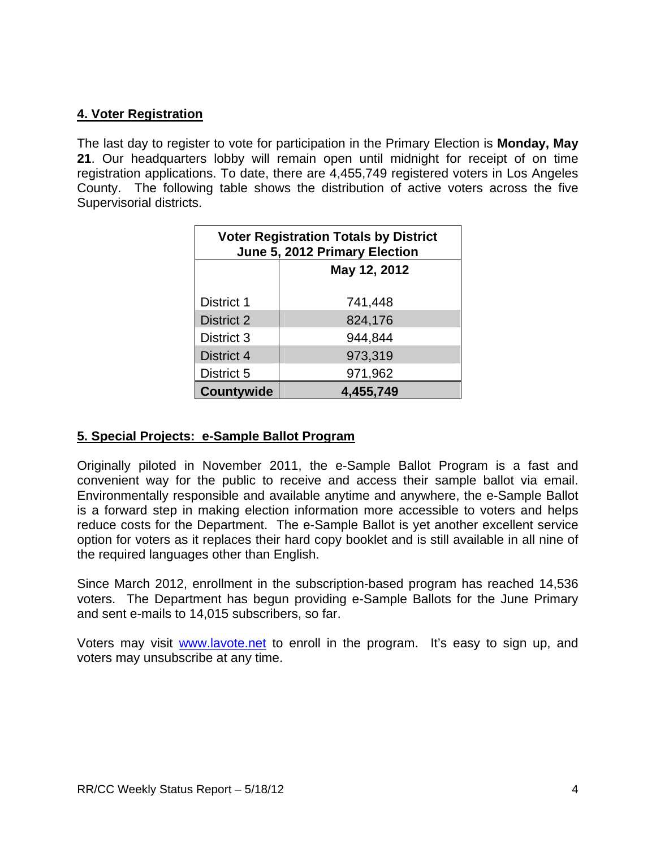## **4. Voter Registration**

The last day to register to vote for participation in the Primary Election is **Monday, May 21**. Our headquarters lobby will remain open until midnight for receipt of on time registration applications. To date, there are 4,455,749 registered voters in Los Angeles County. The following table shows the distribution of active voters across the five Supervisorial districts.

| <b>Voter Registration Totals by District</b><br>June 5, 2012 Primary Election |              |  |  |  |
|-------------------------------------------------------------------------------|--------------|--|--|--|
|                                                                               | May 12, 2012 |  |  |  |
| District 1                                                                    | 741,448      |  |  |  |
| District 2                                                                    | 824,176      |  |  |  |
| District 3                                                                    | 944,844      |  |  |  |
| District 4                                                                    | 973,319      |  |  |  |
| District 5                                                                    | 971,962      |  |  |  |
| <b>Countywide</b>                                                             | 4,455,749    |  |  |  |

### **5. Special Projects: e-Sample Ballot Program**

Originally piloted in November 2011, the e-Sample Ballot Program is a fast and convenient way for the public to receive and access their sample ballot via email. Environmentally responsible and available anytime and anywhere, the e-Sample Ballot is a forward step in making election information more accessible to voters and helps reduce costs for the Department. The e-Sample Ballot is yet another excellent service option for voters as it replaces their hard copy booklet and is still available in all nine of the required languages other than English.

Since March 2012, enrollment in the subscription-based program has reached 14,536 voters. The Department has begun providing e-Sample Ballots for the June Primary and sent e-mails to 14,015 subscribers, so far.

Voters may visit www.lavote.net to enroll in the program. It's easy to sign up, and voters may unsubscribe at any time.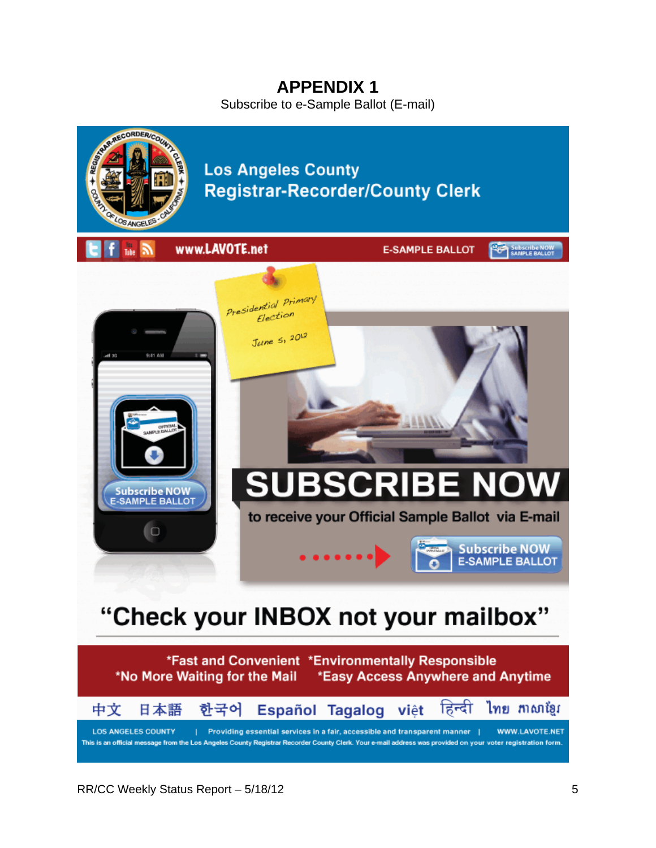# **APPENDIX 1**

Subscribe to e-Sample Ballot (E-mail)